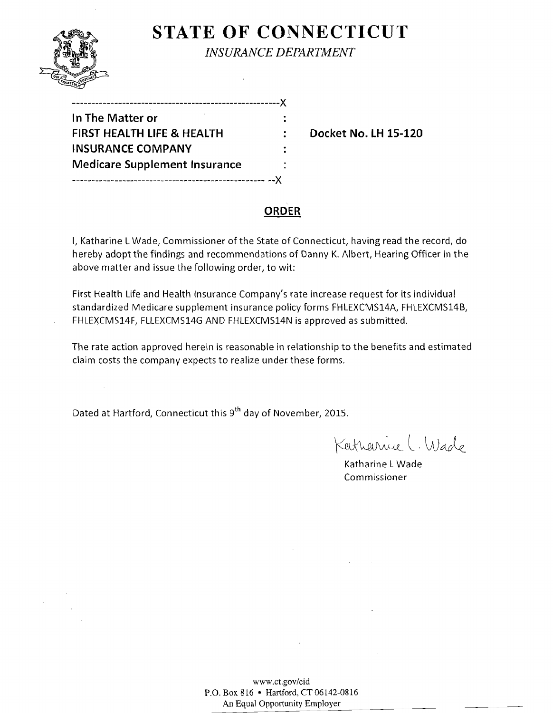

 $\sim$   $\sim$ 

# **STATE OF CONNECTICUT** *INSURANCE DEPARTMENT*

| In The Matter or                      |   |
|---------------------------------------|---|
| <b>FIRST HEALTH LIFE &amp; HEALTH</b> | ÷ |
| <b>INSURANCE COMPANY</b>              |   |
| <b>Medicare Supplement Insurance</b>  |   |
|                                       |   |

**Docket No. LH 15-120** 

### **ORDER**

I, Katharine L Wade, Commissioner of the State of Connecticut, having read the record, do hereby adopt the findings and recommendations of Danny K. Albert, Hearing Officer in the above matter and issue the following order, to wit:

First Health Life and Health Insurance Company's rate increase request for its individual standardized Medicare supplement insurance policy forms FHLEXCMS14A, FHLEXCMS14B, FHLEXCMS14F, FLLEXCMS14G AND FHLEXCMS14N is approved as submitted.

The rate action approved herein is reasonable in relationship to the benefits and estimated claim costs the company expects to realize under these forms.

Dated at Hartford, Connecticut this 9<sup>th</sup> day of November, 2015.

Katharrice L. Wade

Katharine LWade Commissioner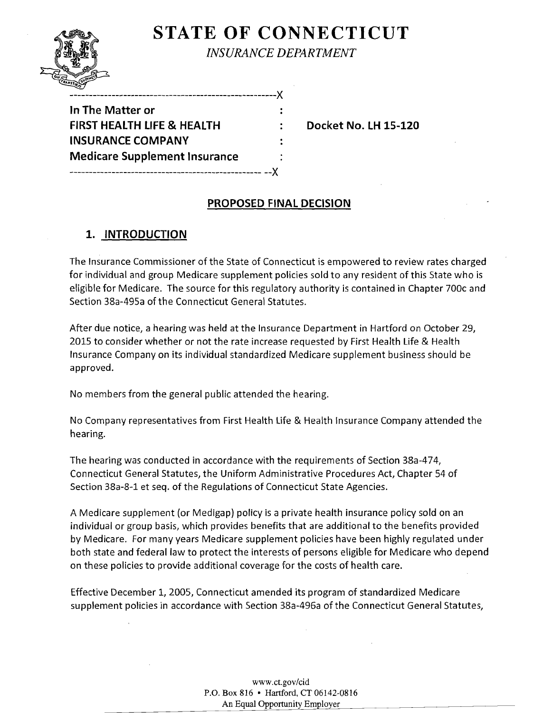**STATE OF CONNECTICUT** *INSURANCE DEPARTMENT* 

| In The Matter or                     |  |
|--------------------------------------|--|
| FIRST HEALTH LIFE & HEALTH           |  |
| <b>INSURANCE COMPANY</b>             |  |
| <b>Medicare Supplement Insurance</b> |  |
| ------------------------------       |  |

**Docket No. LH 15-120** 

## **PROPOSED FINAL DECISION**

# **1. INTRODUCTION**

The Insurance Commissioner of the State of Connecticut is empowered to review rates charged for individual and group Medicare supplement policies sold to any resident of this State who is eligible for Medicare. The source for this regulatory authority is contained in Chapter 700c and Section 38a-495a of the Connecticut General Statutes.

After due notice, a hearing was held at the Insurance Department in Hartford on October 29, 2015 to consider whether or not the rate increase requested by First Health Life & Health Insurance Company on its individual standardized Medicare supplement business should be approved.

No members from the general public attended the hearing.

No Company representatives from First Health Life & Health Insurance Company attended the hearing.

The hearing was conducted in accordance with the requirements of Section 38a-474, Connecticut General Statutes, the Uniform Administrative Procedures Act, Chapter 54 of Section 38a-8-1 et seq. of the Regulations of Connecticut State Agencies.

A Medicare supplement (or Medigap) policy is a private health insurance policy sold on an individual or group basis, which provides benefits that are additional to the benefits provided by Medicare. For many years Medicare supplement policies have been highly regulated under both state and federal law to protect the interests of persons eligible for Medicare who depend on these policies to provide additional coverage for the costs of health care.

Effective December 1, 2005, Connecticut amended its program of standardized Medicare supplement policies in accordance with Section 38a-496a of the Connecticut General Statutes,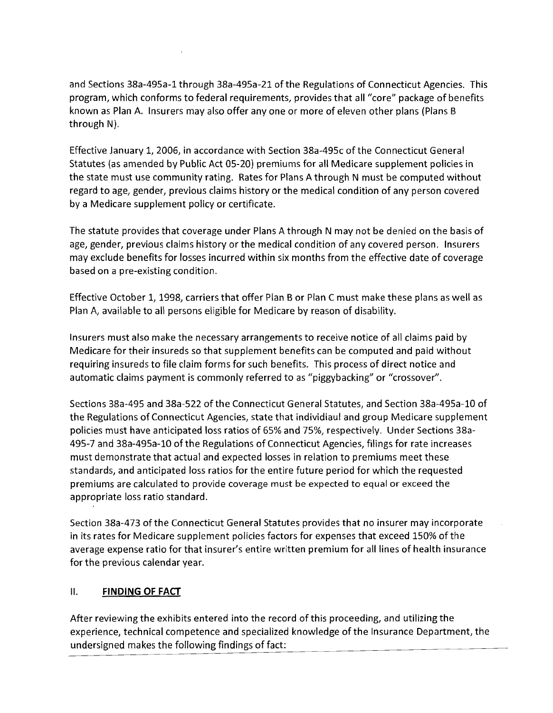and Sections 38a-495a-1 through 38a-495a-21 of the Regulations of Connecticut Agencies. This program, which conforms to federal requirements, provides that all *"core"* package of benefits known as Plan A. Insurers may also offer anyone or more of eleven other plans (Plans B through  $N$ ).

Effective January 1, 2006, in accordance with Section 38a-495c of the Connecticut General Statutes (as amended by Public Act 05-20) premiums for all Medicare supplement policies in the state must use community rating. Rates for Plans A through N must be computed without regard to age, gender, previous claims history or the medical condition of any person covered by a Medicare supplement policy or certificate.

The statute provides that coverage under Plans A through N may not be denied on the basis of age, gender, previous claims history or the medical condition of any covered person. Insurers may exclude benefits for losses incurred within six months from the effective date of coverage based on a pre-existing condition.

Effective October 1, 1998, carriers that offer Plan B or Plan C must make these plans as well as Plan A, available to all persons eligible for Medicare by reason of disability.

Insurers must also make the necessary arrangements to receive notice of all claims paid by Medicare for their insureds so that supplement benefits can be computed and paid without requiring insureds to file claim forms for such benefits. This process of direct notice and automatic claims payment is commonly referred to as "piggybacking" or "crossover".

Sections 38a-495 and 38a-522 of the Connecticut General Statutes, and Section 38a-495a-10 of the Regulations of Connecticut Agencies, state that individiaul and group Medicare supplement policies must have anticipated loss ratios of 65% and 75%, respectively. Under Sections 38a-495-7 and 38a-495a-10 of the Regulations of Connecticut Agencies, filings for rate increases must demonstrate that actual and expected losses in relation to premiums meet these standards, and anticipated loss ratios for the entire future period for which the requested premiums are calculated to provide coverage must be expected to equal or exceed the appropriate loss ratio standard.

Section 38a-473 of the Connecticut General Statutes provides that no insurer may incorporate in its rates for Medicare supplement policies factors for expenses that exceed 150% of the average expense ratio for that insurer's entire written premium for all lines of health insurance for the previous calendar year.

#### II. **FINDING OF FACT**

After reviewing the exhibits entered into the record ofthis proceeding, and utilizing the experience, technical competence and specialized knowledge of the Insurance Department, the undersigned makes the following findings of fact: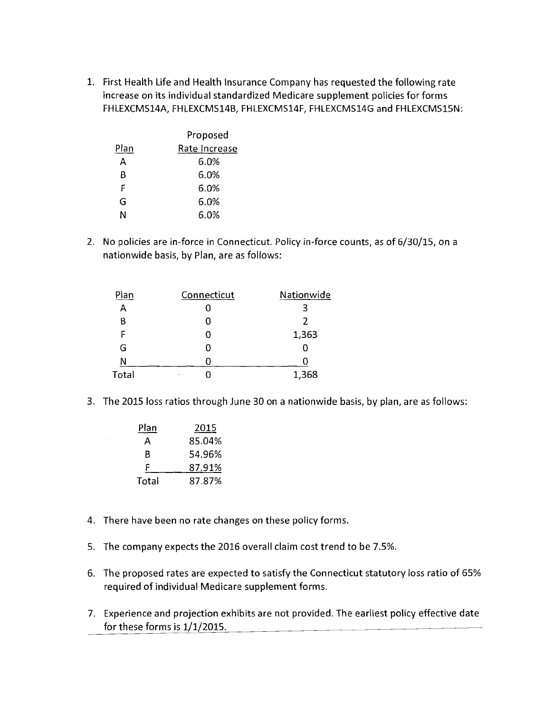1. First Health Life and Health Insurance Company has requested the following rate increase on its individual standardized Medicare supplement policies for forms FHLEXCMS14A, FHLEXCMS14B, FHLEXCMS14F, FHLEXCMS14G and FHLEXCMS15N:

|      | Proposed      |
|------|---------------|
| Plan | Rate Increase |
| А    | 6.0%          |
| В    | 6.0%          |
| F    | 6.0%          |
| G    | 6.0%          |
| N    | 6.0%          |

2. No policies are in-force in Connecticut. Policy in-force counts, as of 6/30/15, on a nationwide basis, by Plan, are as follows:

| Plan  | Connecticut | Nationwide |
|-------|-------------|------------|
| А     |             |            |
| Β     | 0           |            |
| F     | ი           | 1,363      |
| G     | Ω           |            |
| Ν     |             |            |
| Total |             | 1,368      |

3. The 2015 loss ratios through June 30 on a nationwide basis, by plan, are as follows:

| Plan  | 2015   |
|-------|--------|
| А     | 85.04% |
| в     | 54.96% |
| F     | 87.91% |
| Total | 87.87% |

- 4. There have been no rate changes on these policy forms.
- 5. The company expects the 2016 overall claim cost trend to be 7.5%.
- 6. The proposed rates are expected to satisfy the Connecticut statutory loss ratio of 65% required of individual Medicare supplement forms.
- 7. Experience and projection exhibits are not provided. The earliest policy effective date for these forms is 1/1/2015.